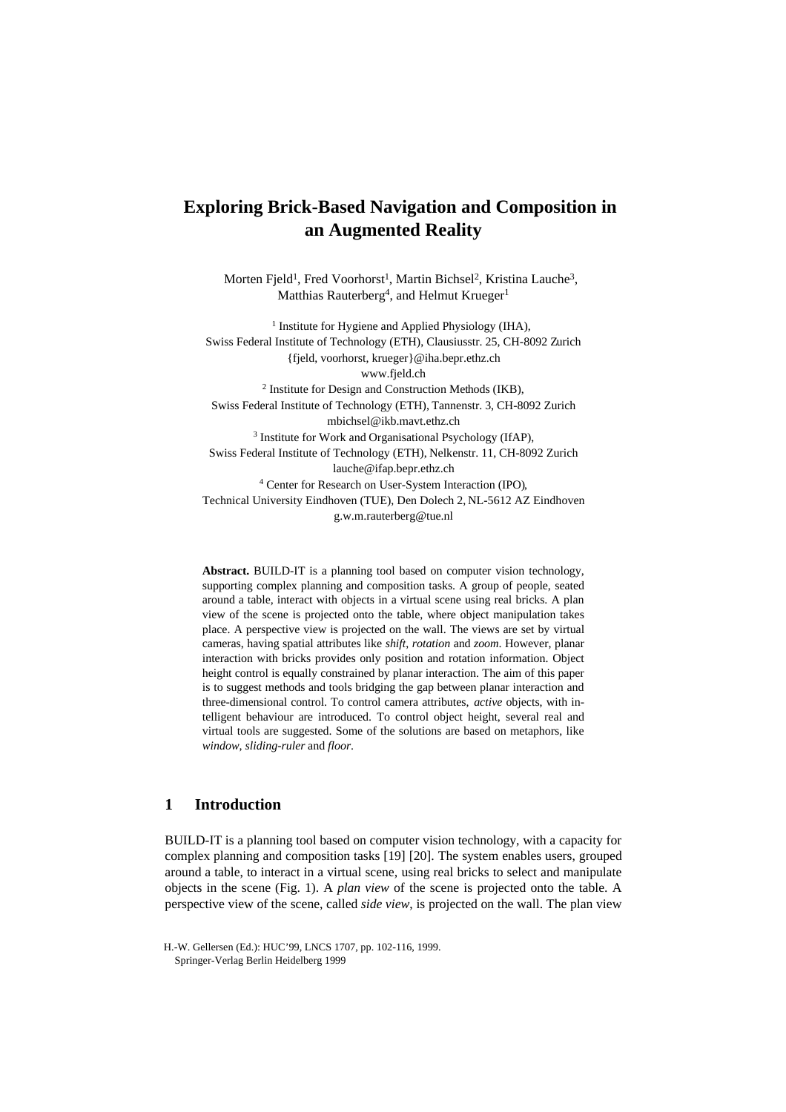# **Exploring Brick-Based Navigation and Composition in an Augmented Reality**

Morten Fjeld<sup>1</sup>, Fred Voorhorst<sup>1</sup>, Martin Bichsel<sup>2</sup>, Kristina Lauche<sup>3</sup>, Matthias Rauterberg<sup>4</sup>, and Helmut Krueger<sup>1</sup>

<sup>1</sup> Institute for Hygiene and Applied Physiology (IHA), Swiss Federal Institute of Technology (ETH), Clausiusstr. 25, CH-8092 Zurich {fjeld, voorhorst, krueger}@iha.bepr.ethz.ch www.fjeld.ch 2 Institute for Design and Construction Methods (IKB), Swiss Federal Institute of Technology (ETH), Tannenstr. 3, CH-8092 Zurich mbichsel@ikb.mavt.ethz.ch 3 Institute for Work and Organisational Psychology (IfAP), Swiss Federal Institute of Technology (ETH), Nelkenstr. 11, CH-8092 Zurich lauche@ifap.bepr.ethz.ch 4 Center for Research on User-System Interaction (IPO), Technical University Eindhoven (TUE), Den Dolech 2, NL-5612 AZ Eindhoven g.w.m.rauterberg@tue.nl

**Abstract.** BUILD-IT is a planning tool based on computer vision technology, supporting complex planning and composition tasks. A group of people, seated around a table, interact with objects in a virtual scene using real bricks. A plan view of the scene is projected onto the table, where object manipulation takes place. A perspective view is projected on the wall. The views are set by virtual cameras, having spatial attributes like *shift*, *rotation* and *zoom*. However, planar interaction with bricks provides only position and rotation information. Object height control is equally constrained by planar interaction. The aim of this paper is to suggest methods and tools bridging the gap between planar interaction and three-dimensional control. To control camera attributes, *active* objects, with intelligent behaviour are introduced. To control object height, several real and virtual tools are suggested. Some of the solutions are based on metaphors, like *window*, *sliding-ruler* and *floor*.

# **1 Introduction**

BUILD-IT is a planning tool based on computer vision technology, with a capacity for complex planning and composition tasks [19] [20]. The system enables users, grouped around a table, to interact in a virtual scene, using real bricks to select and manipulate objects in the scene (Fig. 1). A *plan view* of the scene is projected onto the table. A perspective view of the scene, called *side view*, is projected on the wall. The plan view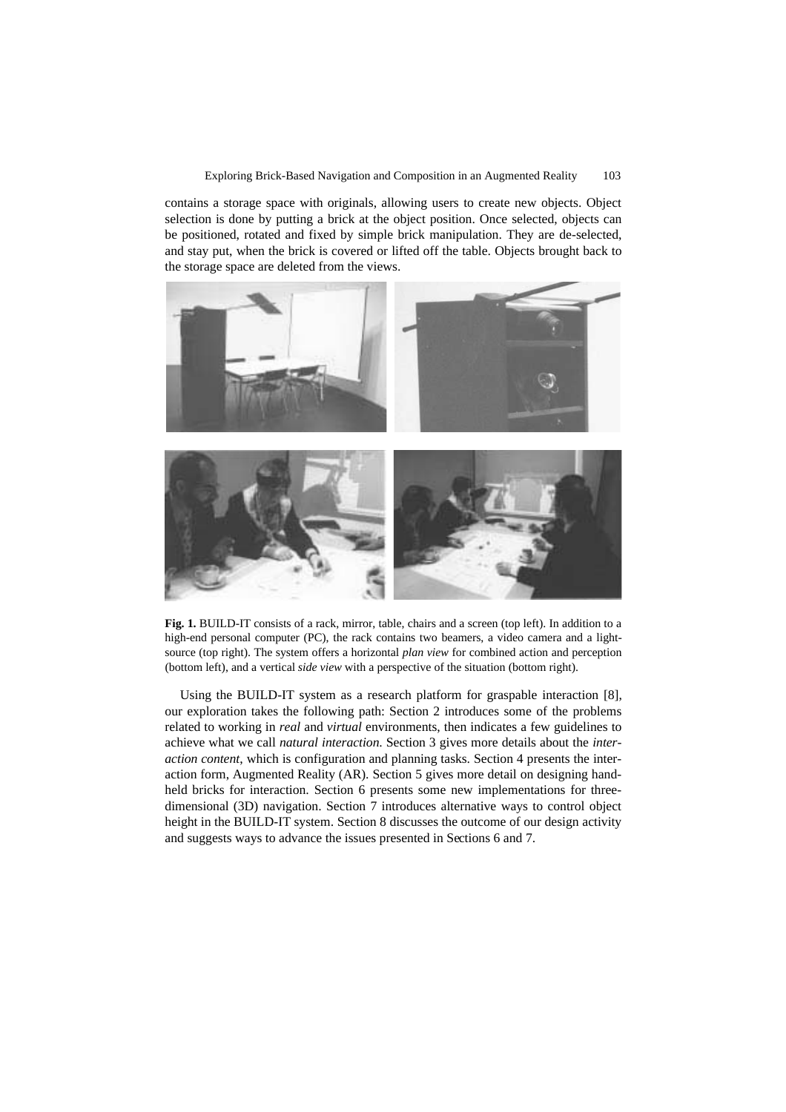contains a storage space with originals, allowing users to create new objects. Object selection is done by putting a brick at the object position. Once selected, objects can be positioned, rotated and fixed by simple brick manipulation. They are de-selected, and stay put, when the brick is covered or lifted off the table. Objects brought back to the storage space are deleted from the views.



**Fig. 1.** BUILD-IT consists of a rack, mirror, table, chairs and a screen (top left). In addition to a high-end personal computer (PC), the rack contains two beamers, a video camera and a lightsource (top right). The system offers a horizontal *plan view* for combined action and perception (bottom left), and a vertical *side view* with a perspective of the situation (bottom right).

Using the BUILD-IT system as a research platform for graspable interaction [8], our exploration takes the following path: Section 2 introduces some of the problems related to working in *real* and *virtual* environments, then indicates a few guidelines to achieve what we call *natural interaction*. Section 3 gives more details about the *interaction content*, which is configuration and planning tasks. Section 4 presents the interaction form, Augmented Reality (AR). Section 5 gives more detail on designing handheld bricks for interaction. Section 6 presents some new implementations for threedimensional (3D) navigation. Section 7 introduces alternative ways to control object height in the BUILD-IT system. Section 8 discusses the outcome of our design activity and suggests ways to advance the issues presented in Sections 6 and 7.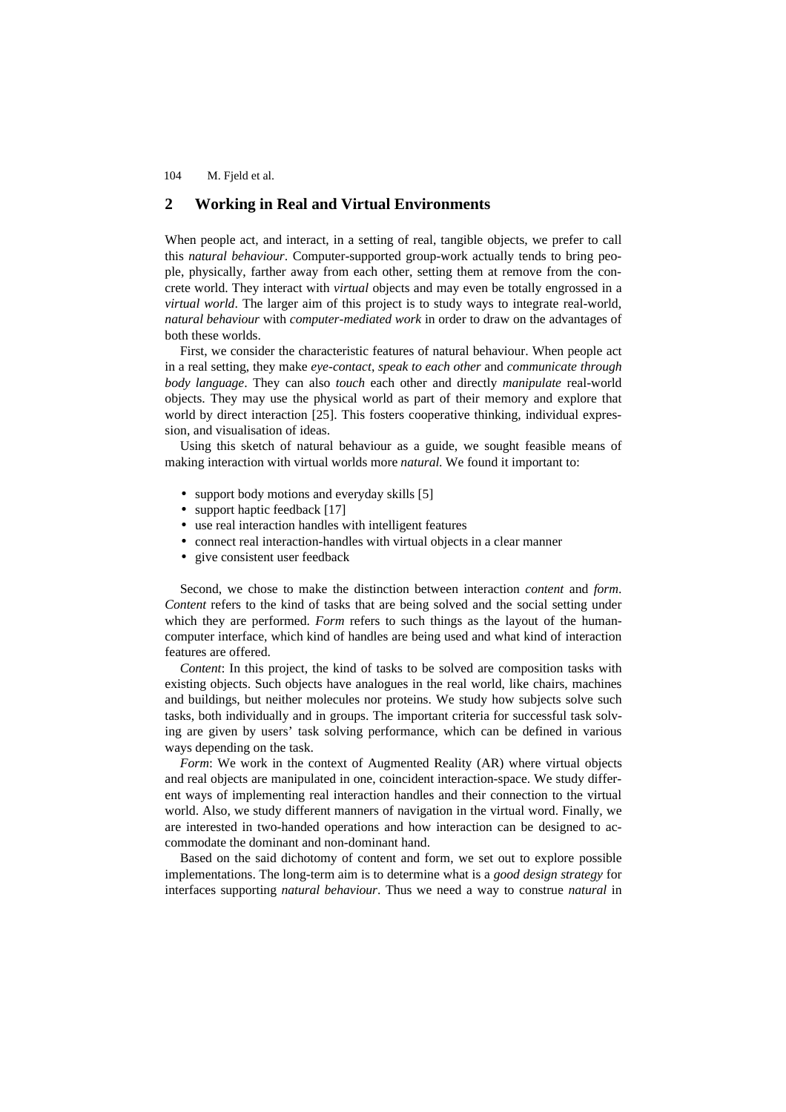### **2 Working in Real and Virtual Environments**

When people act, and interact, in a setting of real, tangible objects, we prefer to call this *natural behaviour*. Computer-supported group-work actually tends to bring people, physically, farther away from each other, setting them at remove from the concrete world. They interact with *virtual* objects and may even be totally engrossed in a *virtual world*. The larger aim of this project is to study ways to integrate real-world, *natural behaviour* with *computer-mediated work* in order to draw on the advantages of both these worlds.

First, we consider the characteristic features of natural behaviour. When people act in a real setting, they make *eye-contact*, *speak to each other* and *communicate through body language*. They can also *touch* each other and directly *manipulate* real-world objects. They may use the physical world as part of their memory and explore that world by direct interaction [25]. This fosters cooperative thinking, individual expression, and visualisation of ideas.

Using this sketch of natural behaviour as a guide, we sought feasible means of making interaction with virtual worlds more *natural*. We found it important to:

- support body motions and everyday skills [5]
- support haptic feedback [17]
- use real interaction handles with intelligent features
- connect real interaction-handles with virtual objects in a clear manner
- give consistent user feedback

Second, we chose to make the distinction between interaction *content* and *form*. *Content* refers to the kind of tasks that are being solved and the social setting under which they are performed. *Form* refers to such things as the layout of the humancomputer interface, which kind of handles are being used and what kind of interaction features are offered.

*Content*: In this project, the kind of tasks to be solved are composition tasks with existing objects. Such objects have analogues in the real world, like chairs, machines and buildings, but neither molecules nor proteins. We study how subjects solve such tasks, both individually and in groups. The important criteria for successful task solving are given by users' task solving performance, which can be defined in various ways depending on the task.

*Form*: We work in the context of Augmented Reality (AR) where virtual objects and real objects are manipulated in one, coincident interaction-space. We study different ways of implementing real interaction handles and their connection to the virtual world. Also, we study different manners of navigation in the virtual word. Finally, we are interested in two-handed operations and how interaction can be designed to accommodate the dominant and non-dominant hand.

Based on the said dichotomy of content and form, we set out to explore possible implementations. The long-term aim is to determine what is a *good design strategy* for interfaces supporting *natural behaviour*. Thus we need a way to construe *natural* in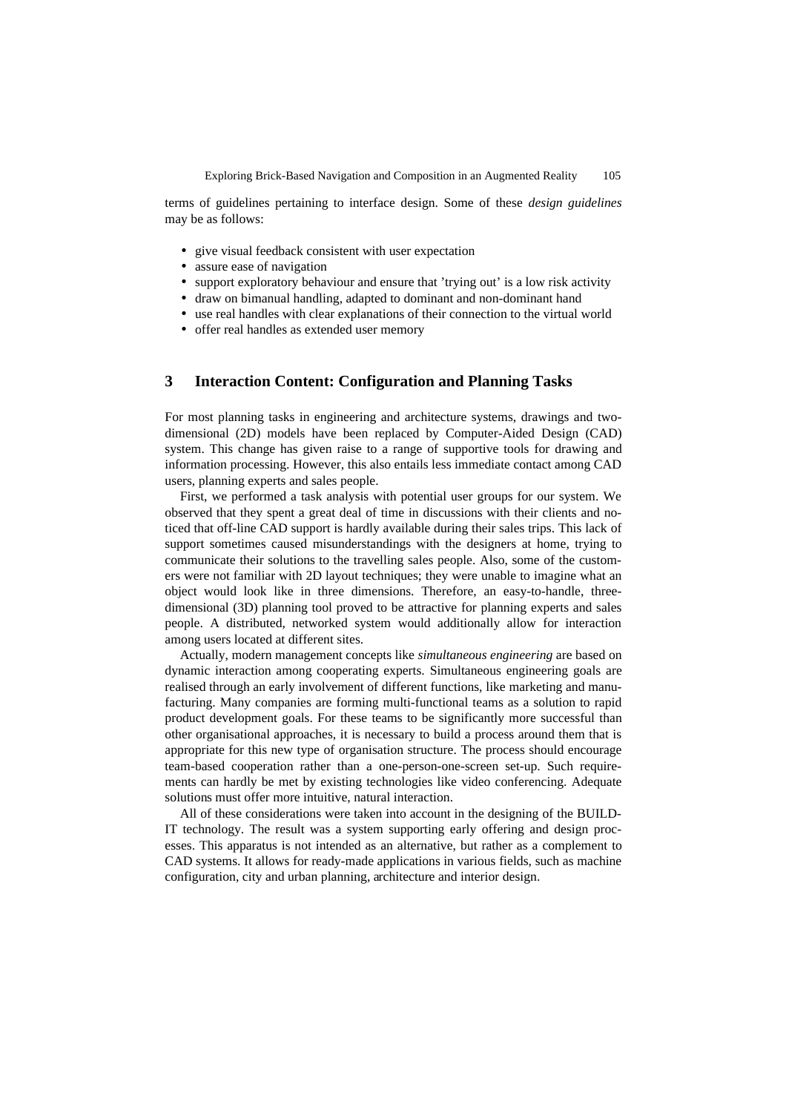terms of guidelines pertaining to interface design. Some of these *design guidelines* may be as follows:

- give visual feedback consistent with user expectation
- assure ease of navigation
- support exploratory behaviour and ensure that 'trying out' is a low risk activity
- draw on bimanual handling, adapted to dominant and non-dominant hand
- use real handles with clear explanations of their connection to the virtual world
- offer real handles as extended user memory

### **3 Interaction Content: Configuration and Planning Tasks**

For most planning tasks in engineering and architecture systems, drawings and twodimensional (2D) models have been replaced by Computer-Aided Design (CAD) system. This change has given raise to a range of supportive tools for drawing and information processing. However, this also entails less immediate contact among CAD users, planning experts and sales people.

First, we performed a task analysis with potential user groups for our system. We observed that they spent a great deal of time in discussions with their clients and noticed that off-line CAD support is hardly available during their sales trips. This lack of support sometimes caused misunderstandings with the designers at home, trying to communicate their solutions to the travelling sales people. Also, some of the customers were not familiar with 2D layout techniques; they were unable to imagine what an object would look like in three dimensions. Therefore, an easy-to-handle, threedimensional (3D) planning tool proved to be attractive for planning experts and sales people. A distributed, networked system would additionally allow for interaction among users located at different sites.

Actually, modern management concepts like *simultaneous engineering* are based on dynamic interaction among cooperating experts. Simultaneous engineering goals are realised through an early involvement of different functions, like marketing and manufacturing. Many companies are forming multi-functional teams as a solution to rapid product development goals. For these teams to be significantly more successful than other organisational approaches, it is necessary to build a process around them that is appropriate for this new type of organisation structure. The process should encourage team-based cooperation rather than a one-person-one-screen set-up. Such requirements can hardly be met by existing technologies like video conferencing. Adequate solutions must offer more intuitive, natural interaction.

All of these considerations were taken into account in the designing of the BUILD-IT technology. The result was a system supporting early offering and design processes. This apparatus is not intended as an alternative, but rather as a complement to CAD systems. It allows for ready-made applications in various fields, such as machine configuration, city and urban planning, architecture and interior design.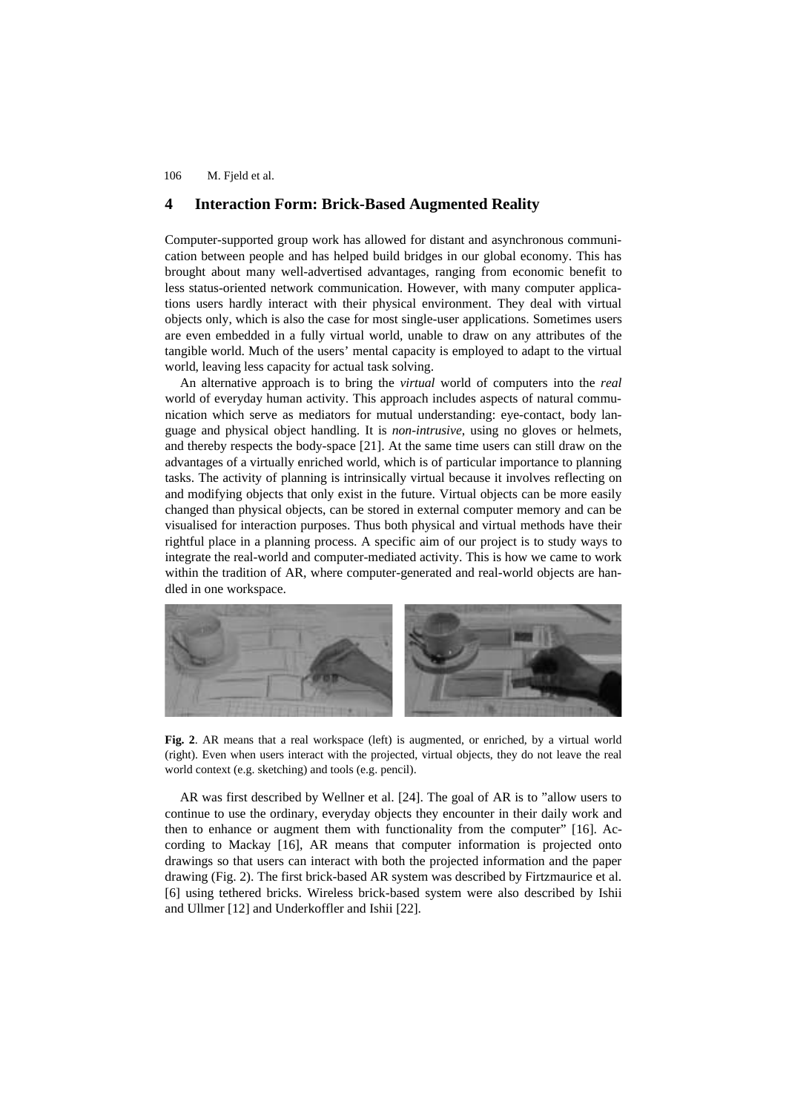### **4 Interaction Form: Brick-Based Augmented Reality**

Computer-supported group work has allowed for distant and asynchronous communication between people and has helped build bridges in our global economy. This has brought about many well-advertised advantages, ranging from economic benefit to less status-oriented network communication. However, with many computer applications users hardly interact with their physical environment. They deal with virtual objects only, which is also the case for most single-user applications. Sometimes users are even embedded in a fully virtual world, unable to draw on any attributes of the tangible world. Much of the users' mental capacity is employed to adapt to the virtual world, leaving less capacity for actual task solving.

An alternative approach is to bring the *virtual* world of computers into the *real* world of everyday human activity. This approach includes aspects of natural communication which serve as mediators for mutual understanding: eye-contact, body language and physical object handling. It is *non-intrusive*, using no gloves or helmets, and thereby respects the body-space [21]. At the same time users can still draw on the advantages of a virtually enriched world, which is of particular importance to planning tasks. The activity of planning is intrinsically virtual because it involves reflecting on and modifying objects that only exist in the future. Virtual objects can be more easily changed than physical objects, can be stored in external computer memory and can be visualised for interaction purposes. Thus both physical and virtual methods have their rightful place in a planning process. A specific aim of our project is to study ways to integrate the real-world and computer-mediated activity. This is how we came to work within the tradition of AR, where computer-generated and real-world objects are handled in one workspace.



**Fig. 2**. AR means that a real workspace (left) is augmented, or enriched, by a virtual world (right). Even when users interact with the projected, virtual objects, they do not leave the real world context (e.g. sketching) and tools (e.g. pencil).

AR was first described by Wellner et al. [24]. The goal of AR is to "allow users to continue to use the ordinary, everyday objects they encounter in their daily work and then to enhance or augment them with functionality from the computer" [16]. According to Mackay [16], AR means that computer information is projected onto drawings so that users can interact with both the projected information and the paper drawing (Fig. 2). The first brick-based AR system was described by Firtzmaurice et al. [6] using tethered bricks. Wireless brick-based system were also described by Ishii and Ullmer [12] and Underkoffler and Ishii [22].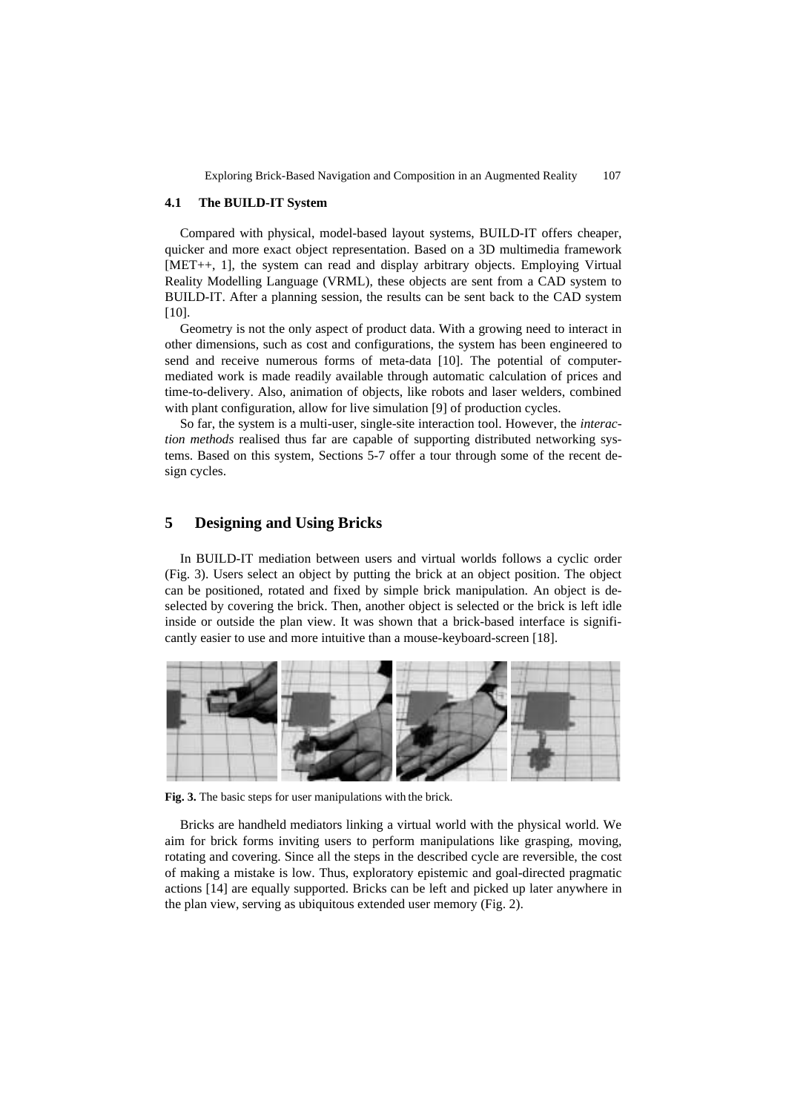#### **4.1 The BUILD-IT System**

Compared with physical, model-based layout systems, BUILD-IT offers cheaper, quicker and more exact object representation. Based on a 3D multimedia framework [MET++, 1], the system can read and display arbitrary objects. Employing Virtual Reality Modelling Language (VRML), these objects are sent from a CAD system to BUILD-IT. After a planning session, the results can be sent back to the CAD system [10].

Geometry is not the only aspect of product data. With a growing need to interact in other dimensions, such as cost and configurations, the system has been engineered to send and receive numerous forms of meta-data [10]. The potential of computermediated work is made readily available through automatic calculation of prices and time-to-delivery. Also, animation of objects, like robots and laser welders, combined with plant configuration, allow for live simulation [9] of production cycles.

So far, the system is a multi-user, single-site interaction tool. However, the *interaction methods* realised thus far are capable of supporting distributed networking systems. Based on this system, Sections 5-7 offer a tour through some of the recent design cycles.

### **5 Designing and Using Bricks**

In BUILD-IT mediation between users and virtual worlds follows a cyclic order (Fig. 3). Users select an object by putting the brick at an object position. The object can be positioned, rotated and fixed by simple brick manipulation. An object is deselected by covering the brick. Then, another object is selected or the brick is left idle inside or outside the plan view. It was shown that a brick-based interface is significantly easier to use and more intuitive than a mouse-keyboard-screen [18].



**Fig. 3.** The basic steps for user manipulations with the brick.

Bricks are handheld mediators linking a virtual world with the physical world. We aim for brick forms inviting users to perform manipulations like grasping, moving, rotating and covering. Since all the steps in the described cycle are reversible, the cost of making a mistake is low. Thus, exploratory epistemic and goal-directed pragmatic actions [14] are equally supported. Bricks can be left and picked up later anywhere in the plan view, serving as ubiquitous extended user memory (Fig. 2).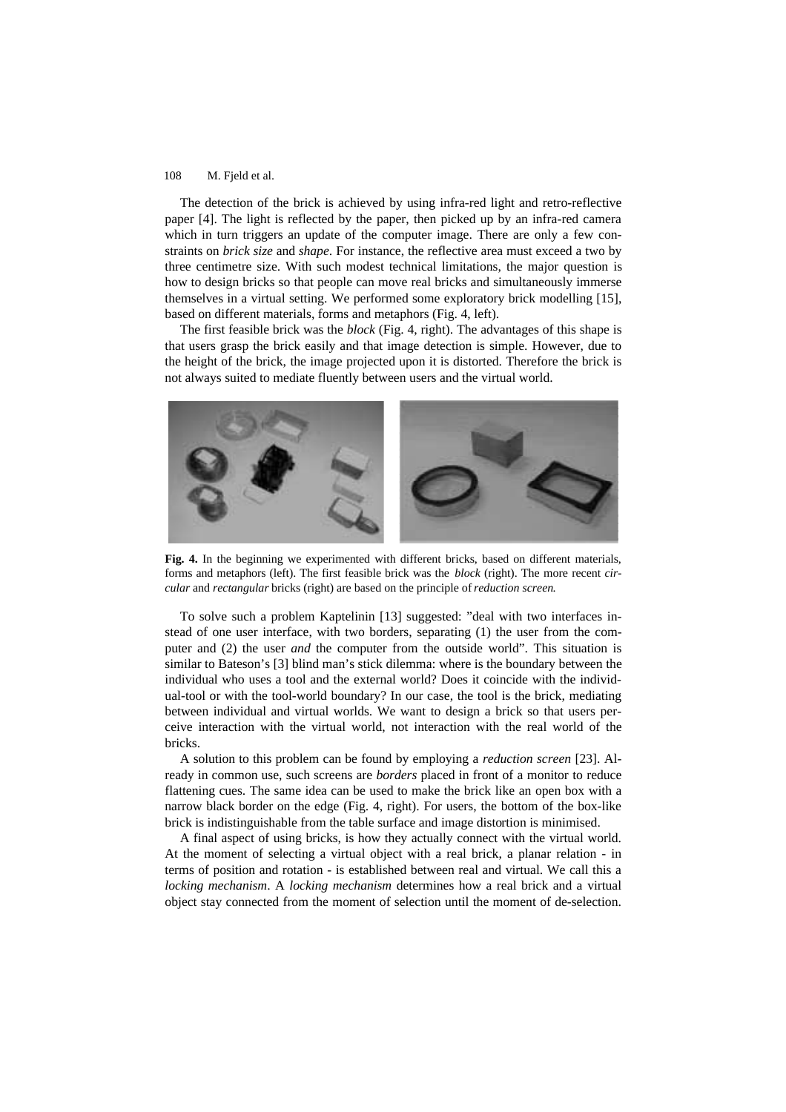The detection of the brick is achieved by using infra-red light and retro-reflective paper [4]. The light is reflected by the paper, then picked up by an infra-red camera which in turn triggers an update of the computer image. There are only a few constraints on *brick size* and *shape*. For instance, the reflective area must exceed a two by three centimetre size. With such modest technical limitations, the major question is how to design bricks so that people can move real bricks and simultaneously immerse themselves in a virtual setting. We performed some exploratory brick modelling [15], based on different materials, forms and metaphors (Fig. 4, left).

The first feasible brick was the *block* (Fig. 4, right). The advantages of this shape is that users grasp the brick easily and that image detection is simple. However, due to the height of the brick, the image projected upon it is distorted. Therefore the brick is not always suited to mediate fluently between users and the virtual world.



**Fig. 4.** In the beginning we experimented with different bricks, based on different materials, forms and metaphors (left). The first feasible brick was the *block* (right). The more recent *circular* and *rectangular* bricks (right) are based on the principle of *reduction screen*.

To solve such a problem Kaptelinin [13] suggested: "deal with two interfaces instead of one user interface, with two borders, separating (1) the user from the computer and (2) the user *and* the computer from the outside world". This situation is similar to Bateson's [3] blind man's stick dilemma: where is the boundary between the individual who uses a tool and the external world? Does it coincide with the individual-tool or with the tool-world boundary? In our case, the tool is the brick, mediating between individual and virtual worlds. We want to design a brick so that users perceive interaction with the virtual world, not interaction with the real world of the bricks.

A solution to this problem can be found by employing a *reduction screen* [23]. Already in common use, such screens are *borders* placed in front of a monitor to reduce flattening cues. The same idea can be used to make the brick like an open box with a narrow black border on the edge (Fig. 4, right). For users, the bottom of the box-like brick is indistinguishable from the table surface and image distortion is minimised.

A final aspect of using bricks, is how they actually connect with the virtual world. At the moment of selecting a virtual object with a real brick, a planar relation - in terms of position and rotation - is established between real and virtual. We call this a *locking mechanism*. A *locking mechanism* determines how a real brick and a virtual object stay connected from the moment of selection until the moment of de-selection.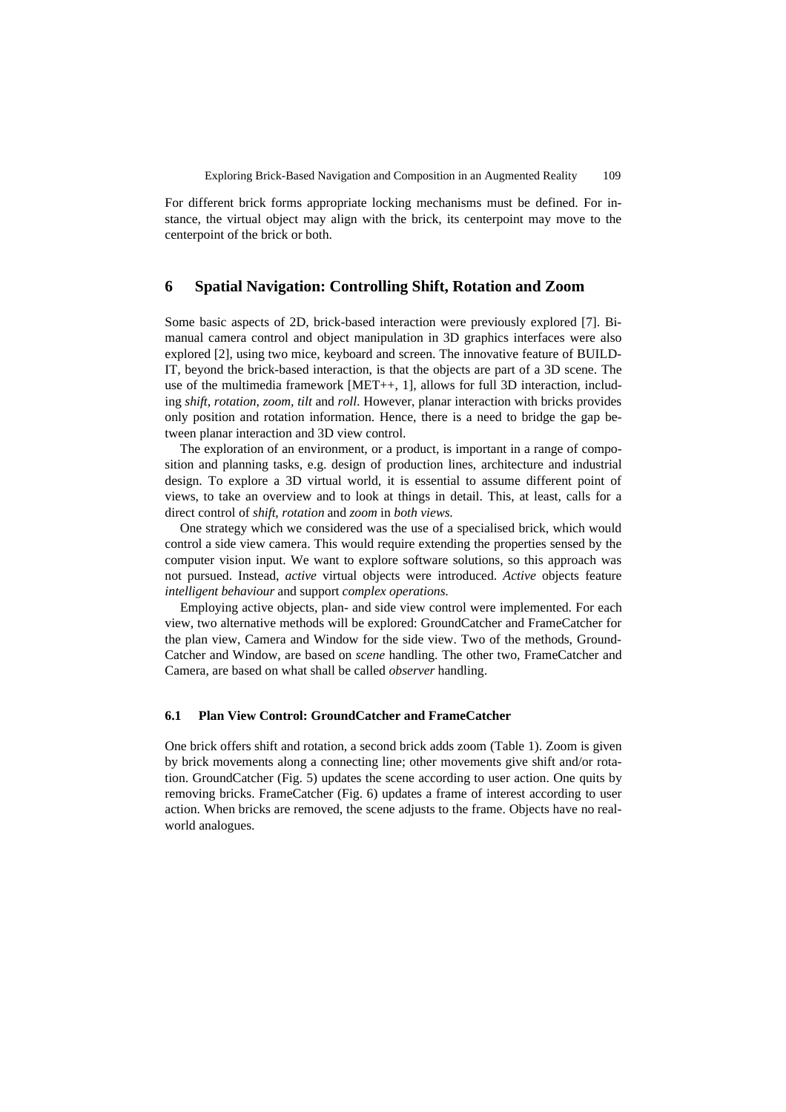For different brick forms appropriate locking mechanisms must be defined. For instance, the virtual object may align with the brick, its centerpoint may move to the centerpoint of the brick or both.

### **6 Spatial Navigation: Controlling Shift, Rotation and Zoom**

Some basic aspects of 2D, brick-based interaction were previously explored [7]. Bimanual camera control and object manipulation in 3D graphics interfaces were also explored [2], using two mice, keyboard and screen. The innovative feature of BUILD-IT, beyond the brick-based interaction, is that the objects are part of a 3D scene. The use of the multimedia framework [MET++, 1], allows for full 3D interaction, including *shift*, *rotation*, *zoom, tilt* and *roll*. However, planar interaction with bricks provides only position and rotation information. Hence, there is a need to bridge the gap between planar interaction and 3D view control.

The exploration of an environment, or a product, is important in a range of composition and planning tasks, e.g. design of production lines, architecture and industrial design. To explore a 3D virtual world, it is essential to assume different point of views, to take an overview and to look at things in detail. This, at least, calls for a direct control of *shift*, *rotation* and *zoom* in *both views*.

One strategy which we considered was the use of a specialised brick, which would control a side view camera. This would require extending the properties sensed by the computer vision input. We want to explore software solutions, so this approach was not pursued. Instead, *active* virtual objects were introduced. *Active* objects feature *intelligent behaviour* and support *complex operations*.

Employing active objects, plan- and side view control were implemented. For each view, two alternative methods will be explored: GroundCatcher and FrameCatcher for the plan view, Camera and Window for the side view. Two of the methods, Ground-Catcher and Window, are based on *scene* handling. The other two, FrameCatcher and Camera, are based on what shall be called *observer* handling.

#### **6.1 Plan View Control: GroundCatcher and FrameCatcher**

One brick offers shift and rotation, a second brick adds zoom (Table 1). Zoom is given by brick movements along a connecting line; other movements give shift and/or rotation. GroundCatcher (Fig. 5) updates the scene according to user action. One quits by removing bricks. FrameCatcher (Fig. 6) updates a frame of interest according to user action. When bricks are removed, the scene adjusts to the frame. Objects have no realworld analogues.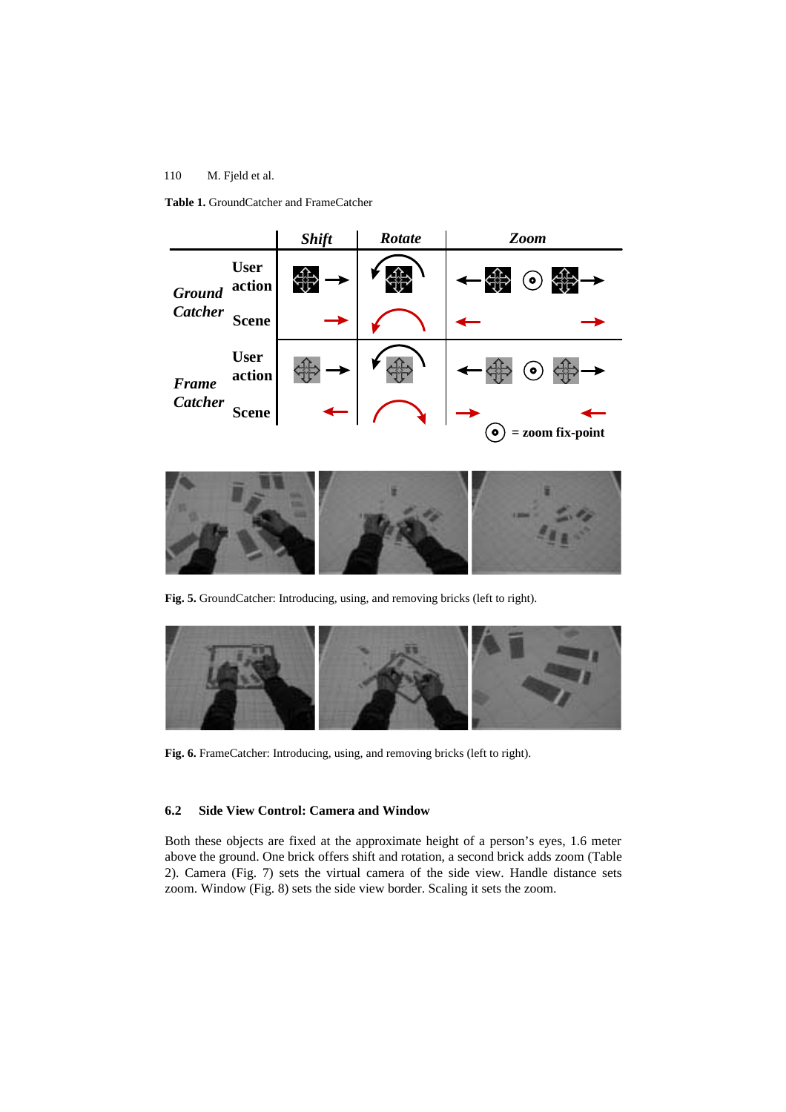#### **Table 1.** GroundCatcher and FrameCatcher





**Fig. 5.** GroundCatcher: Introducing, using, and removing bricks (left to right).



**Fig. 6.** FrameCatcher: Introducing, using, and removing bricks (left to right).

#### **6.2 Side View Control: Camera and Window**

Both these objects are fixed at the approximate height of a person's eyes, 1.6 meter above the ground. One brick offers shift and rotation, a second brick adds zoom (Table 2). Camera (Fig. 7) sets the virtual camera of the side view. Handle distance sets zoom. Window (Fig. 8) sets the side view border. Scaling it sets the zoom.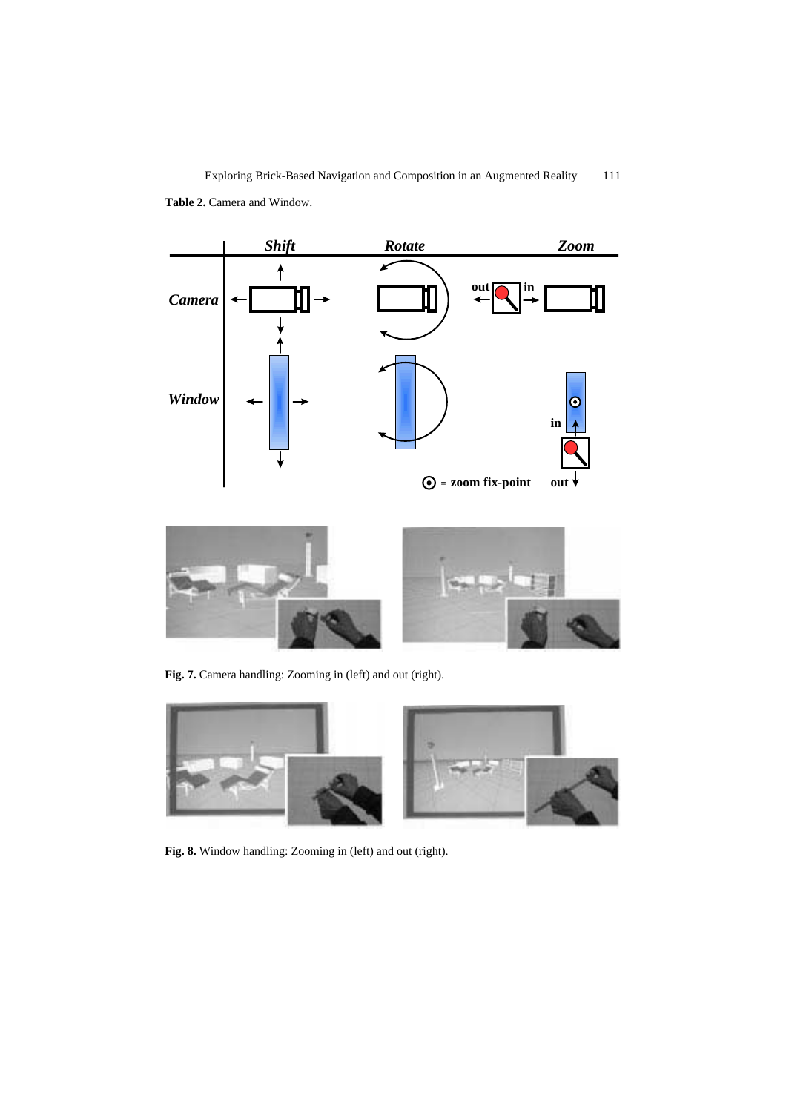



**Fig. 7.** Camera handling: Zooming in (left) and out (right).



**Fig. 8.** Window handling: Zooming in (left) and out (right).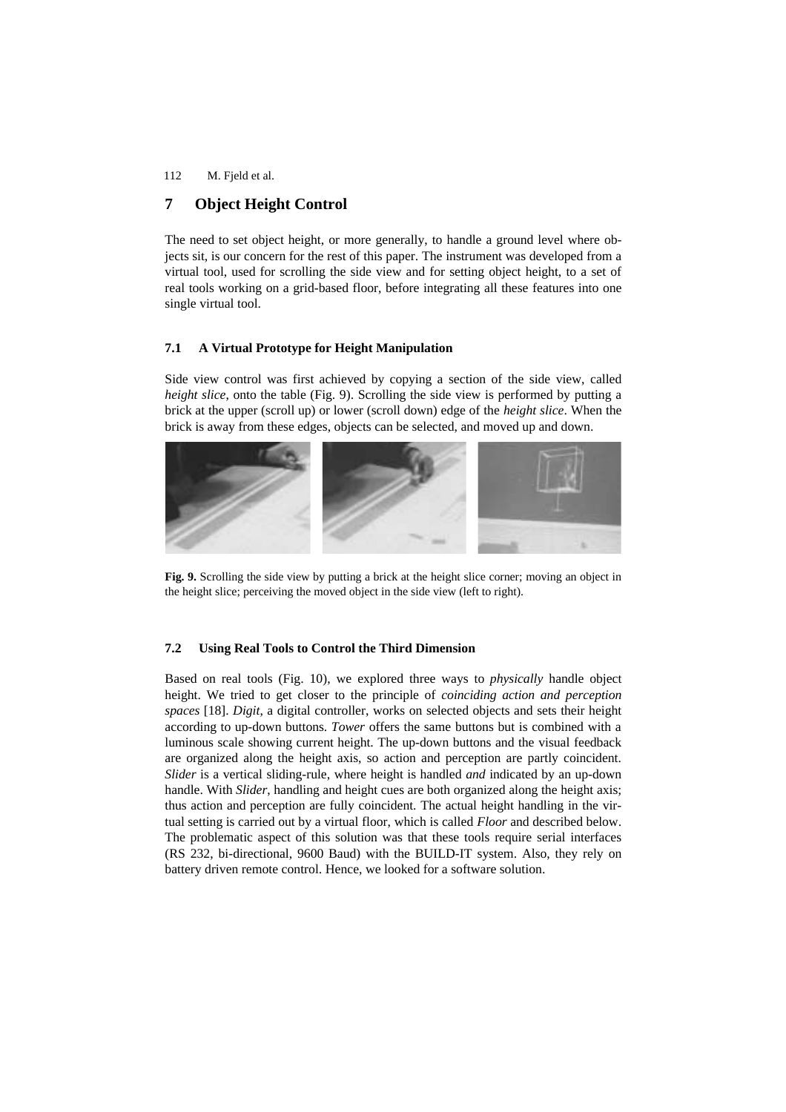# **7 Object Height Control**

The need to set object height, or more generally, to handle a ground level where objects sit, is our concern for the rest of this paper. The instrument was developed from a virtual tool, used for scrolling the side view and for setting object height, to a set of real tools working on a grid-based floor, before integrating all these features into one single virtual tool.

### **7.1 A Virtual Prototype for Height Manipulation**

Side view control was first achieved by copying a section of the side view, called *height slice*, onto the table (Fig. 9). Scrolling the side view is performed by putting a brick at the upper (scroll up) or lower (scroll down) edge of the *height slice*. When the brick is away from these edges, objects can be selected, and moved up and down.



**Fig. 9.** Scrolling the side view by putting a brick at the height slice corner; moving an object in the height slice; perceiving the moved object in the side view (left to right).

### **7.2 Using Real Tools to Control the Third Dimension**

Based on real tools (Fig. 10), we explored three ways to *physically* handle object height. We tried to get closer to the principle of *coinciding action and perception spaces* [18]. *Digit*, a digital controller, works on selected objects and sets their height according to up-down buttons. *Tower* offers the same buttons but is combined with a luminous scale showing current height. The up-down buttons and the visual feedback are organized along the height axis, so action and perception are partly coincident. *Slider* is a vertical sliding-rule, where height is handled *and* indicated by an up-down handle. With *Slider*, handling and height cues are both organized along the height axis; thus action and perception are fully coincident. The actual height handling in the virtual setting is carried out by a virtual floor, which is called *Floor* and described below. The problematic aspect of this solution was that these tools require serial interfaces (RS 232, bi-directional, 9600 Baud) with the BUILD-IT system. Also, they rely on battery driven remote control. Hence, we looked for a software solution.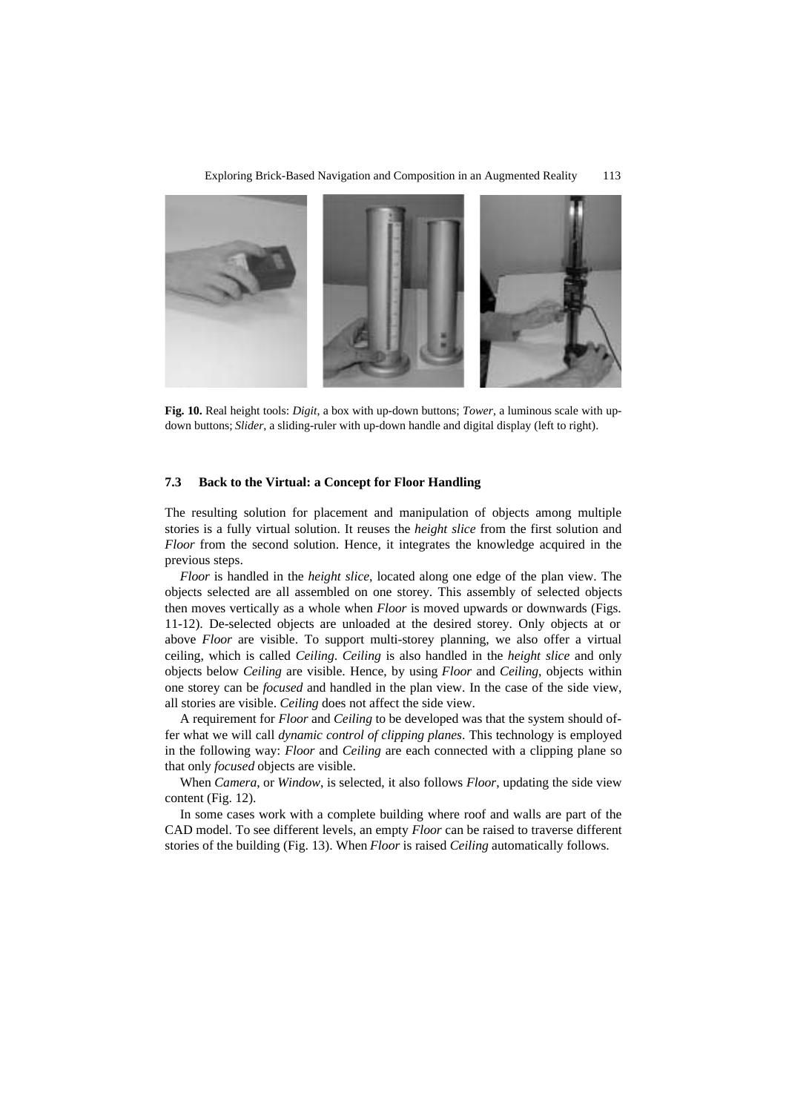

**Fig. 10.** Real height tools: *Digit*, a box with up-down buttons; *Tower*, a luminous scale with updown buttons; *Slider*, a sliding-ruler with up-down handle and digital display (left to right).

#### **7.3 Back to the Virtual: a Concept for Floor Handling**

The resulting solution for placement and manipulation of objects among multiple stories is a fully virtual solution. It reuses the *height slice* from the first solution and *Floor* from the second solution. Hence, it integrates the knowledge acquired in the previous steps.

*Floor* is handled in the *height slice*, located along one edge of the plan view. The objects selected are all assembled on one storey. This assembly of selected objects then moves vertically as a whole when *Floor* is moved upwards or downwards (Figs. 11-12). De-selected objects are unloaded at the desired storey. Only objects at or above *Floor* are visible. To support multi-storey planning, we also offer a virtual ceiling, which is called *Ceiling*. *Ceiling* is also handled in the *height slice* and only objects below *Ceiling* are visible. Hence, by using *Floor* and *Ceiling*, objects within one storey can be *focused* and handled in the plan view. In the case of the side view, all stories are visible. *Ceiling* does not affect the side view.

A requirement for *Floor* and *Ceiling* to be developed was that the system should offer what we will call *dynamic control of clipping planes*. This technology is employed in the following way: *Floor* and *Ceiling* are each connected with a clipping plane so that only *focused* objects are visible.

When *Camera*, or *Window*, is selected, it also follows *Floor*, updating the side view content (Fig. 12).

In some cases work with a complete building where roof and walls are part of the CAD model. To see different levels, an empty *Floor* can be raised to traverse different stories of the building (Fig. 13). When *Floor* is raised *Ceiling* automatically follows.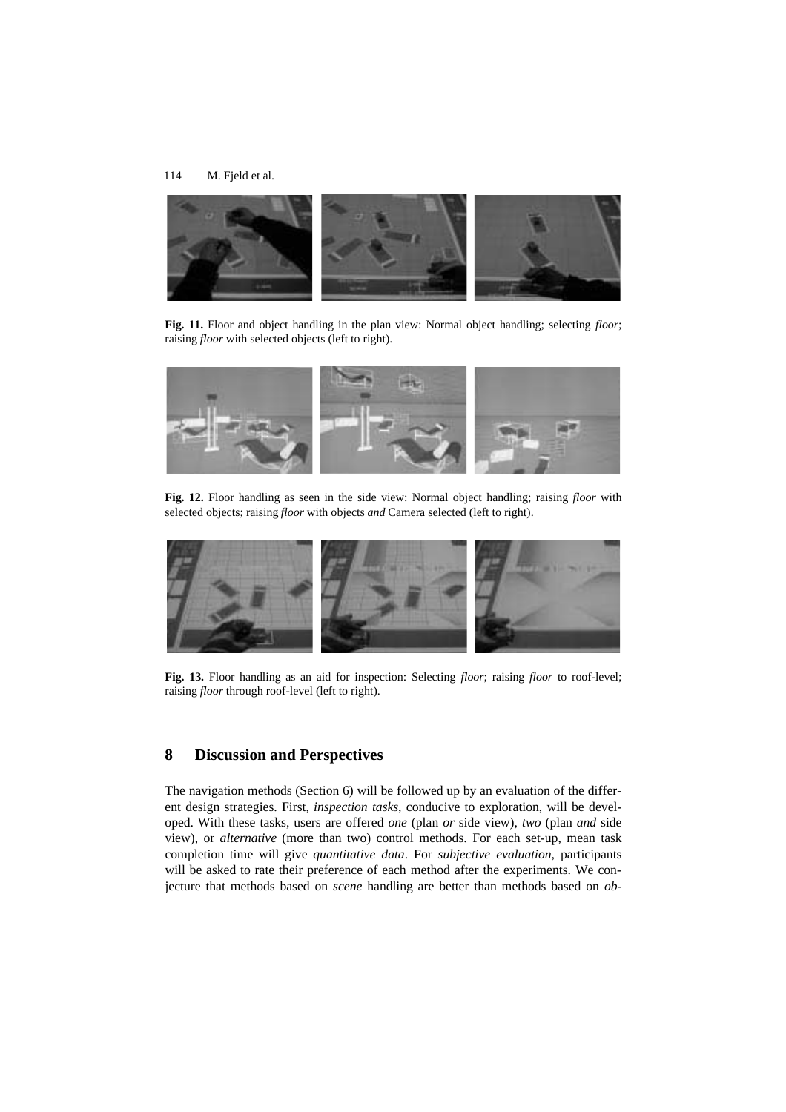

**Fig. 11.** Floor and object handling in the plan view: Normal object handling; selecting *floor*; raising *floor* with selected objects (left to right).



**Fig. 12.** Floor handling as seen in the side view: Normal object handling; raising *floor* with selected objects; raising *floor* with objects *and* Camera selected (left to right).



**Fig. 13.** Floor handling as an aid for inspection: Selecting *floor*; raising *floor* to roof-level; raising *floor* through roof-level (left to right).

# **8 Discussion and Perspectives**

The navigation methods (Section 6) will be followed up by an evaluation of the different design strategies. First, *inspection tasks*, conducive to exploration, will be developed. With these tasks, users are offered *one* (plan *or* side view), *two* (plan *and* side view), or *alternative* (more than two) control methods. For each set-up, mean task completion time will give *quantitative data*. For *subjective evaluation*, participants will be asked to rate their preference of each method after the experiments. We conjecture that methods based on *scene* handling are better than methods based on *ob-*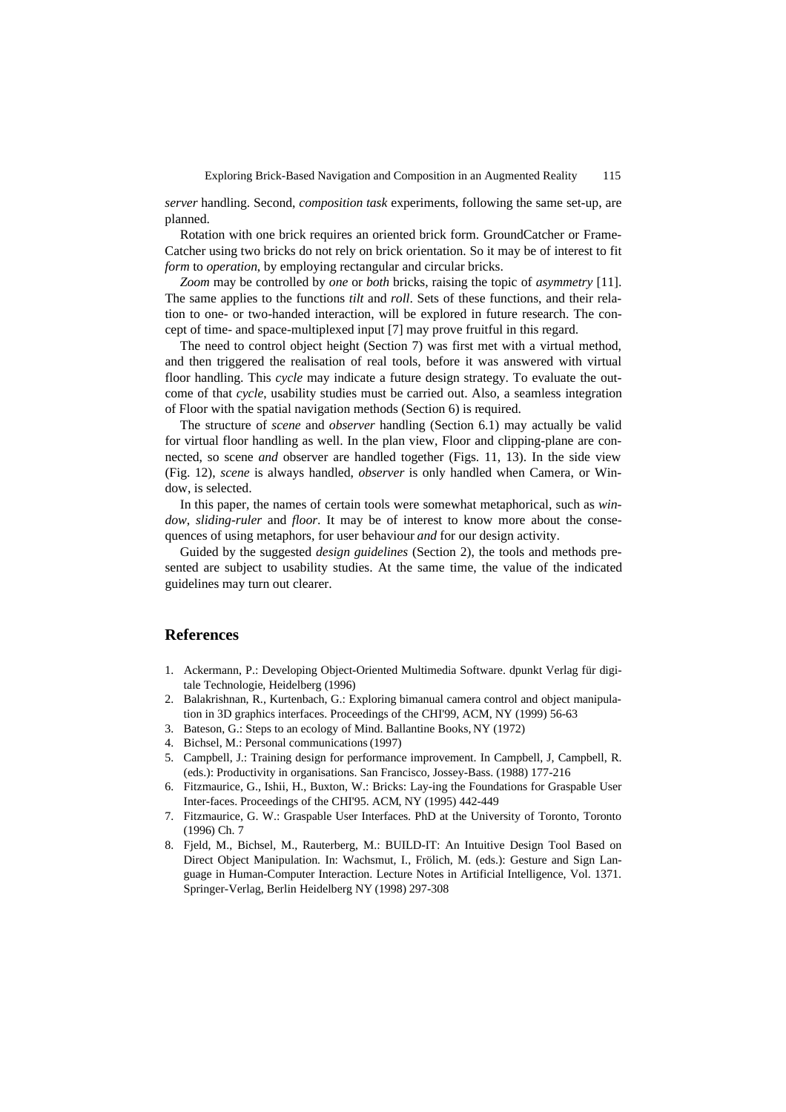*server* handling. Second, *composition task* experiments, following the same set-up, are planned.

Rotation with one brick requires an oriented brick form. GroundCatcher or Frame-Catcher using two bricks do not rely on brick orientation. So it may be of interest to fit *form* to *operation*, by employing rectangular and circular bricks.

*Zoom* may be controlled by *one* or *both* bricks, raising the topic of *asymmetry* [11]. The same applies to the functions *tilt* and *roll*. Sets of these functions, and their relation to one- or two-handed interaction, will be explored in future research. The concept of time- and space-multiplexed input [7] may prove fruitful in this regard.

The need to control object height (Section 7) was first met with a virtual method, and then triggered the realisation of real tools, before it was answered with virtual floor handling. This *cycle* may indicate a future design strategy. To evaluate the outcome of that *cycle*, usability studies must be carried out. Also, a seamless integration of Floor with the spatial navigation methods (Section 6) is required.

The structure of *scene* and *observer* handling (Section 6.1) may actually be valid for virtual floor handling as well. In the plan view, Floor and clipping-plane are connected, so scene *and* observer are handled together (Figs. 11, 13). In the side view (Fig. 12), *scene* is always handled, *observer* is only handled when Camera, or Window, is selected.

In this paper, the names of certain tools were somewhat metaphorical, such as *window*, *sliding-ruler* and *floor*. It may be of interest to know more about the consequences of using metaphors, for user behaviour *and* for our design activity.

Guided by the suggested *design guidelines* (Section 2), the tools and methods presented are subject to usability studies. At the same time, the value of the indicated guidelines may turn out clearer.

## **References**

- 1. Ackermann, P.: Developing Object-Oriented Multimedia Software. dpunkt Verlag für digitale Technologie, Heidelberg (1996)
- 2. Balakrishnan, R., Kurtenbach, G.: Exploring bimanual camera control and object manipulation in 3D graphics interfaces. Proceedings of the CHI'99, ACM, NY (1999) 56-63
- 3. Bateson, G.: Steps to an ecology of Mind. Ballantine Books, NY (1972)
- 4. Bichsel, M.: Personal communications (1997)
- 5. Campbell, J.: Training design for performance improvement. In Campbell, J, Campbell, R. (eds.): Productivity in organisations. San Francisco, Jossey-Bass. (1988) 177-216
- 6. Fitzmaurice, G., Ishii, H., Buxton, W.: Bricks: Lay-ing the Foundations for Graspable User Inter-faces. Proceedings of the CHI'95. ACM, NY (1995) 442-449
- 7. Fitzmaurice, G. W.: Graspable User Interfaces. PhD at the University of Toronto, Toronto (1996) Ch. 7
- 8. Fjeld, M., Bichsel, M., Rauterberg, M.: BUILD-IT: An Intuitive Design Tool Based on Direct Object Manipulation. In: Wachsmut, I., Frölich, M. (eds.): Gesture and Sign Language in Human-Computer Interaction. Lecture Notes in Artificial Intelligence, Vol. 1371. Springer-Verlag, Berlin Heidelberg NY (1998) 297-308